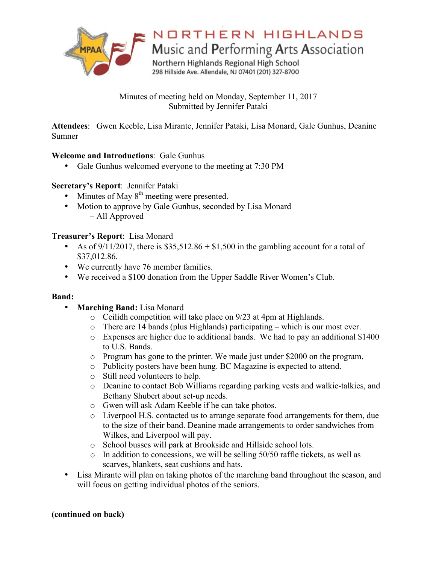

# NORTHERN HIGHLANDS

Music and Performing Arts Association

Northern Highlands Regional High School 298 Hillside Ave. Allendale, NJ 07401 (201) 327-8700

Minutes of meeting held on Monday, September 11, 2017 Submitted by Jennifer Pataki

**Attendees**: Gwen Keeble, Lisa Mirante, Jennifer Pataki, Lisa Monard, Gale Gunhus, Deanine Sumner

### **Welcome and Introductions**: Gale Gunhus

• Gale Gunhus welcomed everyone to the meeting at 7:30 PM

# **Secretary's Report**: Jennifer Pataki

- Minutes of May  $8<sup>th</sup>$  meeting were presented.
- Motion to approve by Gale Gunhus, seconded by Lisa Monard – All Approved

# **Treasurer's Report**: Lisa Monard

- As of  $9/11/2017$ , there is \$35,512.86 + \$1,500 in the gambling account for a total of \$37,012.86.
- We currently have 76 member families.
- We received a \$100 donation from the Upper Saddle River Women's Club.

### **Band:**

- **Marching Band:** Lisa Monard
	- o Ceilidh competition will take place on 9/23 at 4pm at Highlands.
	- o There are 14 bands (plus Highlands) participating which is our most ever.
	- o Expenses are higher due to additional bands. We had to pay an additional \$1400 to U.S. Bands.
	- o Program has gone to the printer. We made just under \$2000 on the program.
	- o Publicity posters have been hung. BC Magazine is expected to attend.
	- o Still need volunteers to help.
	- o Deanine to contact Bob Williams regarding parking vests and walkie-talkies, and Bethany Shubert about set-up needs.
	- o Gwen will ask Adam Keeble if he can take photos.
	- o Liverpool H.S. contacted us to arrange separate food arrangements for them, due to the size of their band. Deanine made arrangements to order sandwiches from Wilkes, and Liverpool will pay.
	- o School busses will park at Brookside and Hillside school lots.
	- o In addition to concessions, we will be selling 50/50 raffle tickets, as well as scarves, blankets, seat cushions and hats.
- Lisa Mirante will plan on taking photos of the marching band throughout the season, and will focus on getting individual photos of the seniors.

### **(continued on back)**